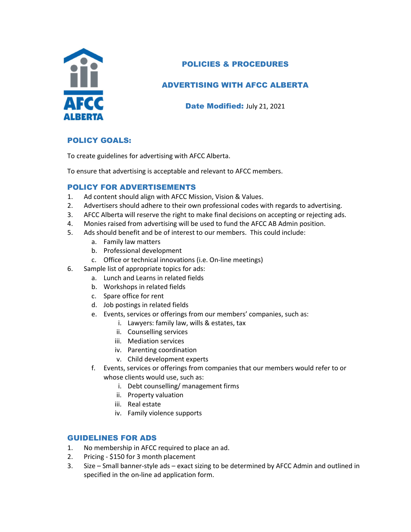

## POLICIES & PROCEDURES

## ADVERTISING WITH AFCC ALBERTA

Date Modified: July 21, 2021

### POLICY GOALS:

To create guidelines for advertising with AFCC Alberta.

To ensure that advertising is acceptable and relevant to AFCC members.

#### POLICY FOR ADVERTISEMENTS

- 1. Ad content should align with AFCC Mission, Vision & Values.
- 2. Advertisers should adhere to their own professional codes with regards to advertising.
- 3. AFCC Alberta will reserve the right to make final decisions on accepting or rejecting ads.
- 4. Monies raised from advertising will be used to fund the AFCC AB Admin position.
- 5. Ads should benefit and be of interest to our members. This could include:
	- a. Family law matters
	- b. Professional development
	- c. Office or technical innovations (i.e. On-line meetings)
- 6. Sample list of appropriate topics for ads:
	- a. Lunch and Learns in related fields
	- b. Workshops in related fields
	- c. Spare office for rent
	- d. Job postings in related fields
	- e. Events, services or offerings from our members' companies, such as:
		- i. Lawyers: family law, wills & estates, tax
		- ii. Counselling services
		- iii. Mediation services
		- iv. Parenting coordination
		- v. Child development experts
	- f. Events, services or offerings from companies that our members would refer to or whose clients would use, such as:
		- i. Debt counselling/ management firms
		- ii. Property valuation
		- iii. Real estate
		- iv. Family violence supports

#### GUIDELINES FOR ADS

- 1. No membership in AFCC required to place an ad.
- 2. Pricing \$150 for 3 month placement
- 3. Size Small banner-style ads exact sizing to be determined by AFCC Admin and outlined in specified in the on-line ad application form.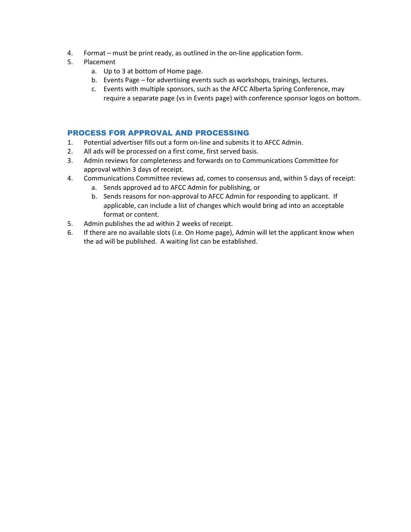- 4. Format must be print ready, as outlined in the on-line application form.
- 5. Placement
	- a. Up to 3 at bottom of Home page.
	- b. Events Page for advertising events such as workshops, trainings, lectures.
	- c. Events with multiple sponsors, such as the AFCC Alberta Spring Conference, may require a separate page (vs in Events page) with conference sponsor logos on bottom.

#### PROCESS FOR APPROVAL AND PROCESSING

- 1. Potential advertiser fills out a form on-line and submits it to AFCC Admin.
- 2. All ads will be processed on a first come, first served basis.
- 3. Admin reviews for completeness and forwards on to Communications Committee for approval within 3 days of receipt.
- 4. Communications Committee reviews ad, comes to consensus and, within 5 days of receipt:
	- a. Sends approved ad to AFCC Admin for publishing, or
	- b. Sends reasons for non-approval to AFCC Admin for responding to applicant. If applicable, can include a list of changes which would bring ad into an acceptable format or content.
- 5. Admin publishes the ad within 2 weeks of receipt.
- 6. If there are no available slots (i.e. On Home page), Admin will let the applicant know when the ad will be published. A waiting list can be established.